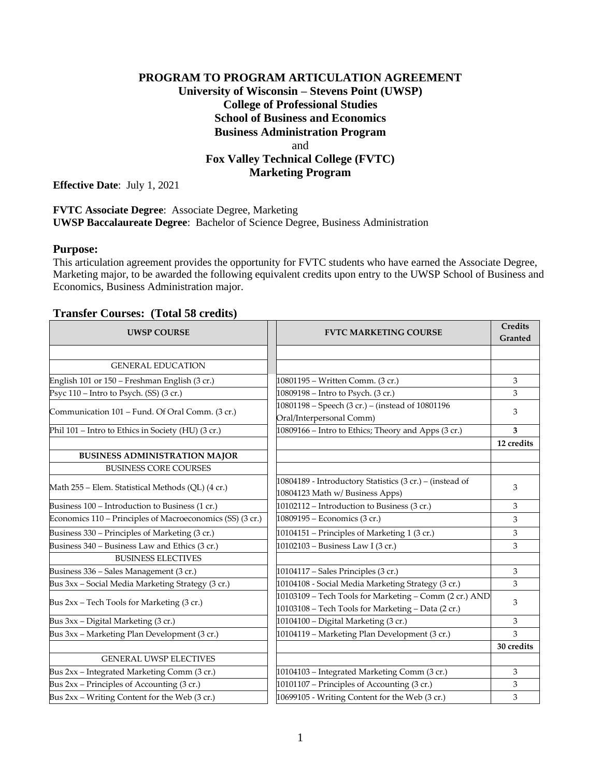# **PROGRAM TO PROGRAM ARTICULATION AGREEMENT University of Wisconsin – Stevens Point (UWSP) College of Professional Studies School of Business and Economics Business Administration Program** and **Fox Valley Technical College (FVTC) Marketing Program**

**Effective Date**: July 1, 2021

**FVTC Associate Degree**: Associate Degree, Marketing **UWSP Baccalaureate Degree**: Bachelor of Science Degree, Business Administration

#### **Purpose:**

This articulation agreement provides the opportunity for FVTC students who have earned the Associate Degree, Marketing major, to be awarded the following equivalent credits upon entry to the UWSP School of Business and Economics, Business Administration major.

### **Transfer Courses: (Total 58 credits)**

| <b>UWSP COURSE</b>                                        | <b>FVTC MARKETING COURSE</b>                                                 | <b>Credits</b><br>Granted |
|-----------------------------------------------------------|------------------------------------------------------------------------------|---------------------------|
|                                                           |                                                                              |                           |
| <b>GENERAL EDUCATION</b>                                  |                                                                              |                           |
| English 101 or 150 - Freshman English (3 cr.)             | 10801195 - Written Comm. (3 cr.)                                             | 3                         |
| Psyc 110 – Intro to Psych. (SS) (3 cr.)                   | 10809198 - Intro to Psych. (3 cr.)                                           | 3                         |
| Communication 101 – Fund. Of Oral Comm. (3 cr.)           | 10801198 - Speech (3 cr.) - (instead of 10801196<br>Oral/Interpersonal Comm) | 3                         |
| Phil 101 - Intro to Ethics in Society (HU) (3 cr.)        | 10809166 - Intro to Ethics; Theory and Apps (3 cr.)                          | 3                         |
|                                                           |                                                                              | 12 credits                |
| <b>BUSINESS ADMINISTRATION MAJOR</b>                      |                                                                              |                           |
| <b>BUSINESS CORE COURSES</b>                              |                                                                              |                           |
|                                                           | 10804189 - Introductory Statistics (3 cr.) - (instead of                     | 3                         |
| Math 255 - Elem. Statistical Methods (QL) (4 cr.)         | 10804123 Math w/ Business Apps)                                              |                           |
| Business 100 - Introduction to Business (1 cr.)           | 10102112 - Introduction to Business (3 cr.)                                  | 3                         |
| Economics 110 - Principles of Macroeconomics (SS) (3 cr.) | 10809195 - Economics (3 cr.)                                                 | 3                         |
| Business 330 – Principles of Marketing (3 cr.)            | 10104151 - Principles of Marketing 1 (3 cr.)                                 | 3                         |
| Business 340 - Business Law and Ethics (3 cr.)            | 10102103 - Business Law I (3 cr.)                                            | 3                         |
| <b>BUSINESS ELECTIVES</b>                                 |                                                                              |                           |
| Business 336 - Sales Management (3 cr.)                   | 10104117 - Sales Principles (3 cr.)                                          | 3                         |
| Bus 3xx - Social Media Marketing Strategy (3 cr.)         | 10104108 - Social Media Marketing Strategy (3 cr.)                           | 3                         |
| Bus 2xx - Tech Tools for Marketing (3 cr.)                | 10103109 - Tech Tools for Marketing - Comm (2 cr.) AND                       | 3                         |
|                                                           | 10103108 - Tech Tools for Marketing - Data (2 cr.)                           |                           |
| Bus 3xx - Digital Marketing (3 cr.)                       | 10104100 - Digital Marketing (3 cr.)                                         | 3                         |
| Bus 3xx - Marketing Plan Development (3 cr.)              | 10104119 - Marketing Plan Development (3 cr.)                                | 3                         |
|                                                           |                                                                              | 30 credits                |
| <b>GENERAL UWSP ELECTIVES</b>                             |                                                                              |                           |
| Bus 2xx - Integrated Marketing Comm (3 cr.)               | 10104103 - Integrated Marketing Comm (3 cr.)                                 | 3                         |
| Bus 2xx – Principles of Accounting (3 cr.)                | 10101107 - Principles of Accounting (3 cr.)                                  | 3                         |
| Bus 2xx - Writing Content for the Web (3 cr.)             | 10699105 - Writing Content for the Web (3 cr.)                               | 3                         |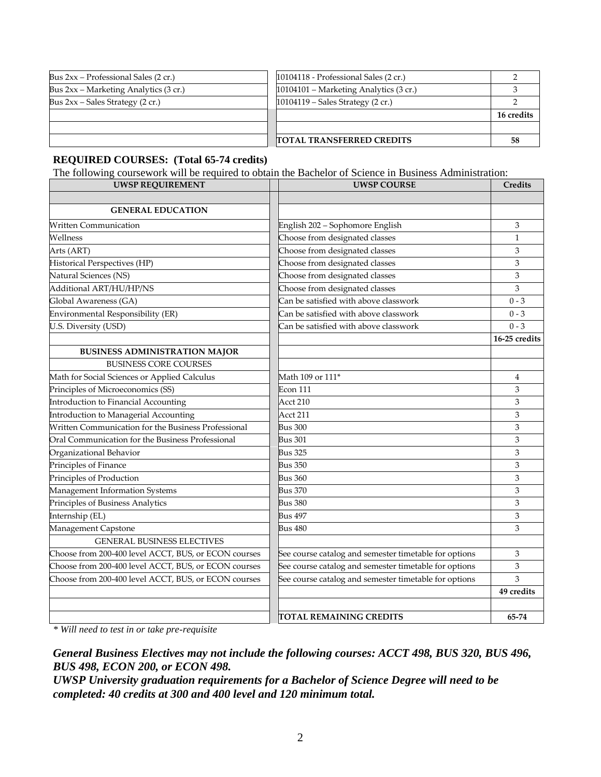| Bus $2xx$ – Professional Sales (2 cr.)  | 10104118 - Professional Sales (2 cr.)                  |            |
|-----------------------------------------|--------------------------------------------------------|------------|
| Bus $2xx$ – Marketing Analytics (3 cr.) | $10104101 - \text{Marketing Analysis} (3 \text{ cr.})$ |            |
| Bus $2xx$ – Sales Strategy (2 cr.)      | $10104119$ – Sales Strategy (2 cr.)                    |            |
|                                         |                                                        | 16 credits |
|                                         |                                                        |            |
|                                         | <b>ITOTAL TRANSFERRED CREDITS</b>                      | 58         |

#### **REQUIRED COURSES: (Total 65-74 credits)**

The following coursework will be required to obtain the Bachelor of Science in Business Administration:

| UWSP REQUIREMENT                                     | <b>UWSP COURSE</b>                                    | Credits       |
|------------------------------------------------------|-------------------------------------------------------|---------------|
|                                                      |                                                       |               |
| <b>GENERAL EDUCATION</b>                             |                                                       |               |
| <b>Written Communication</b>                         | English 202 - Sophomore English                       | 3             |
| Wellness                                             | Choose from designated classes                        | $\mathbf{1}$  |
| Arts (ART)                                           | Choose from designated classes                        | 3             |
| Historical Perspectives (HP)                         | Choose from designated classes                        | 3             |
| Natural Sciences (NS)                                | Choose from designated classes                        | 3             |
| Additional ART/HU/HP/NS                              | Choose from designated classes                        | 3             |
| Global Awareness (GA)                                | Can be satisfied with above classwork                 | $0 - 3$       |
| Environmental Responsibility (ER)                    | Can be satisfied with above classwork                 | $0 - 3$       |
| U.S. Diversity (USD)                                 | Can be satisfied with above classwork                 | $0 - 3$       |
|                                                      |                                                       | 16-25 credits |
| <b>BUSINESS ADMINISTRATION MAJOR</b>                 |                                                       |               |
| <b>BUSINESS CORE COURSES</b>                         |                                                       |               |
| Math for Social Sciences or Applied Calculus         | Math 109 or 111 <sup>*</sup>                          | 4             |
| Principles of Microeconomics (SS)                    | Econ 111                                              | 3             |
| Introduction to Financial Accounting                 | Acct 210                                              | 3             |
| Introduction to Managerial Accounting                | Acct 211                                              | 3             |
| Written Communication for the Business Professional  | <b>Bus 300</b>                                        | 3             |
| Oral Communication for the Business Professional     | <b>Bus 301</b>                                        | 3             |
| Organizational Behavior                              | <b>Bus 325</b>                                        | 3             |
| Principles of Finance                                | <b>Bus 350</b>                                        | 3             |
| Principles of Production                             | <b>Bus 360</b>                                        | 3             |
| Management Information Systems                       | <b>Bus 370</b>                                        | 3             |
| Principles of Business Analytics                     | <b>Bus 380</b>                                        | 3             |
| Internship (EL)                                      | Bus 497                                               | 3             |
| Management Capstone                                  | <b>Bus 480</b>                                        | 3             |
| <b>GENERAL BUSINESS ELECTIVES</b>                    |                                                       |               |
| Choose from 200-400 level ACCT, BUS, or ECON courses | See course catalog and semester timetable for options | 3             |
| Choose from 200-400 level ACCT, BUS, or ECON courses | See course catalog and semester timetable for options | 3             |
| Choose from 200-400 level ACCT, BUS, or ECON courses | See course catalog and semester timetable for options | 3             |
|                                                      |                                                       | 49 credits    |
|                                                      |                                                       |               |
|                                                      | TOTAL REMAINING CREDITS                               | 65-74         |

*\* Will need to test in or take pre-requisite*

## *General Business Electives may not include the following courses: ACCT 498, BUS 320, BUS 496, BUS 498, ECON 200, or ECON 498.*

*UWSP University graduation requirements for a Bachelor of Science Degree will need to be completed: 40 credits at 300 and 400 level and 120 minimum total.*